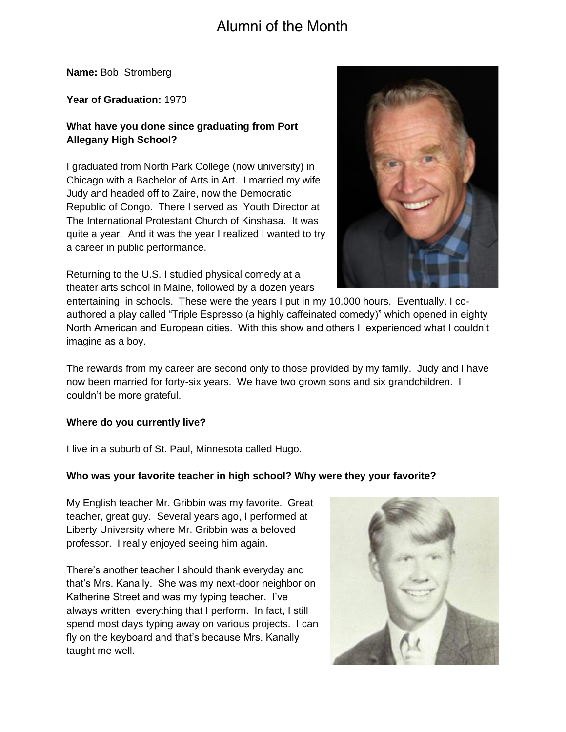# Alumni of the Month

**Name:** Bob Stromberg

**Year of Graduation:** 1970

## **What have you done since graduating from Port Allegany High School?**

I graduated from North Park College (now university) in Chicago with a Bachelor of Arts in Art. I married my wife Judy and headed off to Zaire, now the Democratic Republic of Congo. There I served as Youth Director at The International Protestant Church of Kinshasa. It was quite a year. And it was the year I realized I wanted to try a career in public performance.

Returning to the U.S. I studied physical comedy at a theater arts school in Maine, followed by a dozen years



entertaining in schools. These were the years I put in my 10,000 hours. Eventually, I coauthored a play called "Triple Espresso (a highly caffeinated comedy)" which opened in eighty North American and European cities. With this show and others I experienced what I couldn't imagine as a boy.

The rewards from my career are second only to those provided by my family. Judy and I have now been married for forty-six years. We have two grown sons and six grandchildren. I couldn't be more grateful.

#### **Where do you currently live?**

I live in a suburb of St. Paul, Minnesota called Hugo.

#### **Who was your favorite teacher in high school? Why were they your favorite?**

My English teacher Mr. Gribbin was my favorite. Great teacher, great guy. Several years ago, I performed at Liberty University where Mr. Gribbin was a beloved professor. I really enjoyed seeing him again.

There's another teacher I should thank everyday and that's Mrs. Kanally. She was my next-door neighbor on Katherine Street and was my typing teacher. I've always written everything that I perform. In fact, I still spend most days typing away on various projects. I can fly on the keyboard and that's because Mrs. Kanally taught me well.